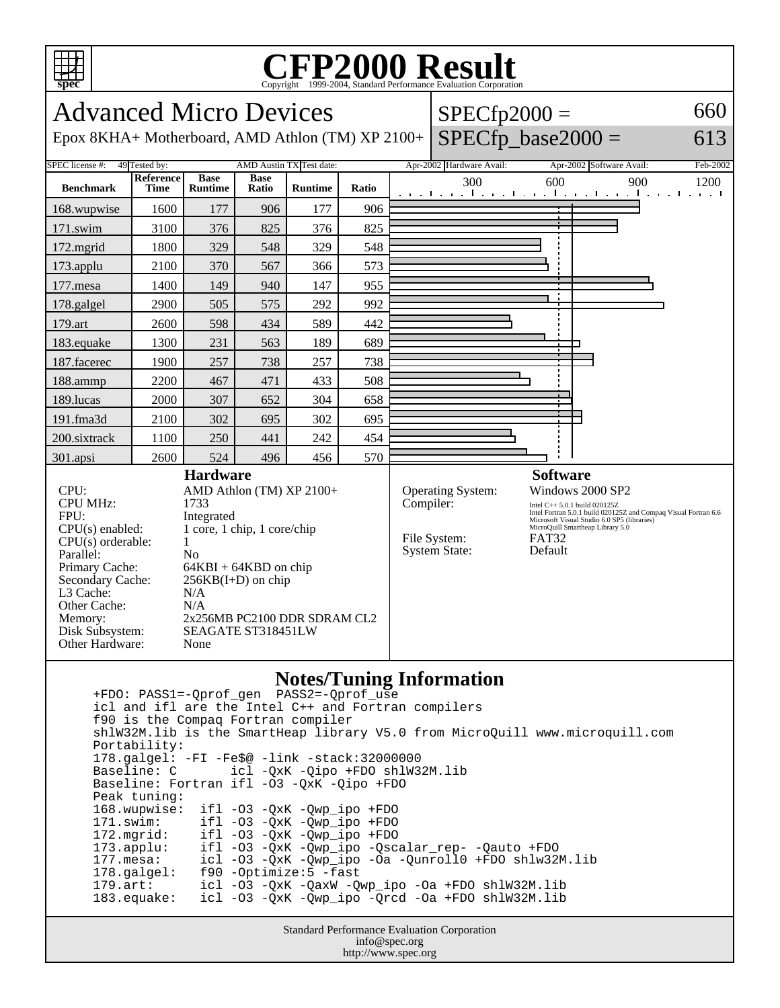

## **CFP2000 Result** Copyright 1999-2004, Standard Performance Evaluation Corporation

Advanced Micro Devices Epox 8KHA+ Motherboard, AMD Athlon (TM) XP 2100+  $SPECfp2000 =$  $SPECfp\_base2000 =$ 660 613 SPEC license #: 49 Tested by: AMD Austin TX Test date: Apr-2002 Hardware Avail: Apr-2002 Software Avail: Feb-2002 **Benchmark Reference Time Base Runtime Base Ratio Runtime Ratio** 300 600 900 1200 168.wupwise 1600 177 906 177 906 171.swim | 3100 | 376 | 825 | 376 | 825 172.mgrid | 1800 | 329 | 548 | 329 | 548 173.applu | 2100 | 370 | 567 | 366 | 573 177.mesa | 1400 | 149 | 940 | 147 | 955 178.galgel | 2900 | 505 | 575 | 292 | 992 179.art | 2600 | 598 | 434 | 589 | 442 183.equake 1300 231 563 189 689 187.facerec | 1900 | 257 | 738 | 257 | 738 188.ammp | 2200 | 467 | 471 | 433 | 508 189.lucas 2000 307 652 304 658 191.fma3d 2100 302 695 302 695 200.sixtrack 1100 250 441 242 454 301.apsi | 2600 | 524 | 496 | 456 | 570 **Hardware** CPU: AMD Athlon (TM) XP 2100+ CPU MHz: 1733 FPU: Integrated CPU(s) enabled: 1 core, 1 chip, 1 core/chip  $CPU(s)$  orderable:  $1$ Parallel: No Primary Cache: 64KBI + 64KBD on chip Secondary Cache:  $256KB(I+D)$  on chip L3 Cache: N/A Other Cache: N/A Memory: 2x256MB PC2100 DDR SDRAM CL2 Disk Subsystem: SEAGATE ST318451LW Other Hardware: None **Software** Operating System: Windows 2000 SP2 Compiler: Intel C++ 5.0.1 build 020125Z Intel Fortran 5.0.1 build 020125Z and Compaq Visual Fortran 6.6 Microsoft Visual Studio 6.0 SP5 (libraries) MicroQuill Smartheap Library 5.0 File System: FAT32<br>System State: Default System State:

## **Notes/Tuning Information**

 +FDO: PASS1=-Qprof\_gen PASS2=-Qprof\_use icl and ifl are the Intel C++ and Fortran compilers f90 is the Compaq Fortran compiler shlW32M.lib is the SmartHeap library V5.0 from MicroQuill www.microquill.com Portability: 178.galgel: -FI -Fe\$@ -link -stack:32000000 icl -QxK -Qipo +FDO shlW32M.lib Baseline: Fortran ifl -O3 -QxK -Qipo +FDO Peak tuning: 168.wupwise: ifl -O3 -QxK -Qwp\_ipo +FDO 171.swim: ifl -O3 -QxK -Qwp\_ipo +FDO<br>172.mgrid: ifl -O3 -QxK -Qwp\_ipo +FDO 172.mgrid: ifl -O3 -QxK -Qwp\_ipo +FDO 173.applu: ifl -O3 -QxK -Qwp\_ipo -Qscalar\_rep- -Qauto +FDO 177.mesa: icl -O3 -QxK -Qwp\_ipo -Oa -Qunroll0 +FDO shlw32M.lib 178.galgel: f90 -Optimize:5 -fast 179.art: icl -O3 -QxK -QaxW -Qwp\_ipo -Oa +FDO shlW32M.lib 183.equake: icl -O3 -QxK -Qwp\_ipo -Qrcd -Oa +FDO shlW32M.lib

> Standard Performance Evaluation Corporation info@spec.org http://www.spec.org